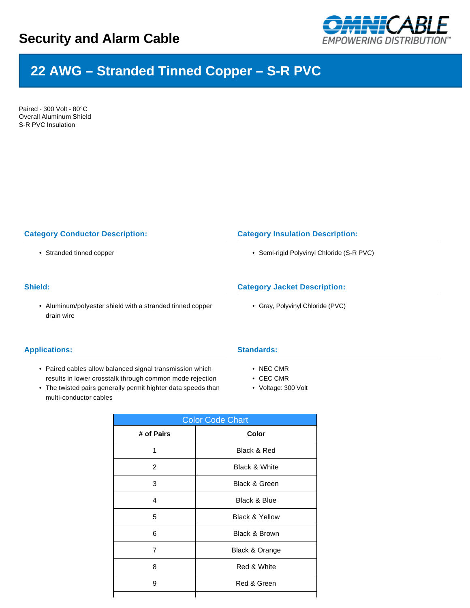

# **22 AWG – Stranded Tinned Copper – S-R PVC**

Paired - 300 Volt - 80°C Overall Aluminum Shield S-R PVC Insulation

## **Category Conductor Description:**

• Stranded tinned copper

### **Shield:**

• Aluminum/polyester shield with a stranded tinned copper drain wire

#### **Applications:**

- Paired cables allow balanced signal transmission which results in lower crosstalk through common mode rejection
- The twisted pairs generally permit highter data speeds than multi-conductor cables

#### **Category Insulation Description:**

• Semi-rigid Polyvinyl Chloride (S-R PVC)

## **Category Jacket Description:**

• Gray, Polyvinyl Chloride (PVC)

#### **Standards:**

- NEC CMR
- CEC CMR
- Voltage: 300 Volt

| <b>Color Code Chart</b> |                           |  |  |  |  |
|-------------------------|---------------------------|--|--|--|--|
| # of Pairs              | Color                     |  |  |  |  |
| 1                       | Black & Red               |  |  |  |  |
| $\overline{2}$          | <b>Black &amp; White</b>  |  |  |  |  |
| 3                       | <b>Black &amp; Green</b>  |  |  |  |  |
| 4                       | Black & Blue              |  |  |  |  |
| 5                       | <b>Black &amp; Yellow</b> |  |  |  |  |
| 6                       | <b>Black &amp; Brown</b>  |  |  |  |  |
| 7                       | Black & Orange            |  |  |  |  |
| 8                       | Red & White               |  |  |  |  |
| 9                       | Red & Green               |  |  |  |  |
|                         |                           |  |  |  |  |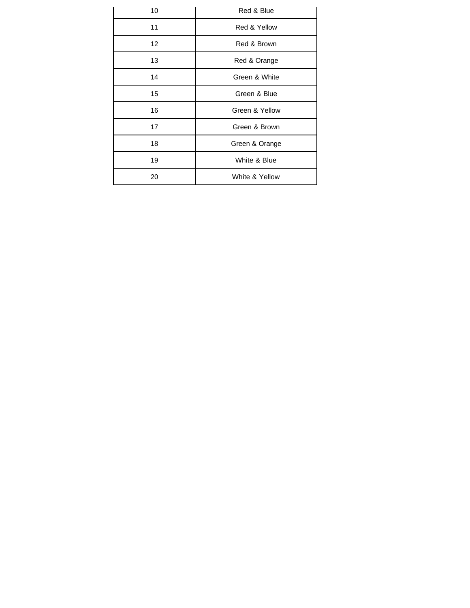| 10 | Red & Blue     |  |  |  |  |
|----|----------------|--|--|--|--|
| 11 | Red & Yellow   |  |  |  |  |
| 12 | Red & Brown    |  |  |  |  |
| 13 | Red & Orange   |  |  |  |  |
| 14 | Green & White  |  |  |  |  |
| 15 | Green & Blue   |  |  |  |  |
| 16 | Green & Yellow |  |  |  |  |
| 17 | Green & Brown  |  |  |  |  |
| 18 | Green & Orange |  |  |  |  |
| 19 | White & Blue   |  |  |  |  |
| 20 | White & Yellow |  |  |  |  |